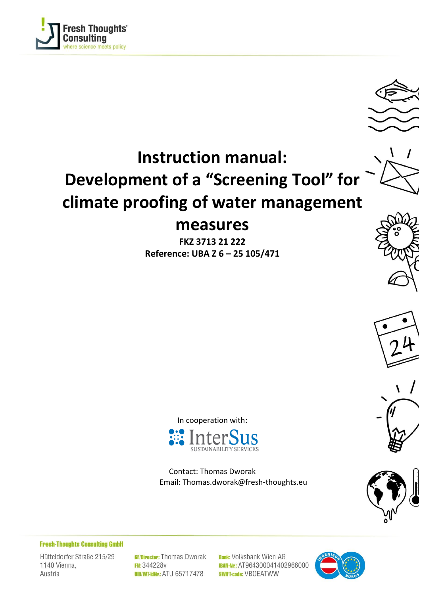



# **Instruction manual: Development of a "Screening Tool" for climate proofing of water management measures**

**FKZ 3713 21 222 Reference: UBA Z 6 – 25 105/471**









In cooperation with:



Contact: Thomas Dworak Email: Thomas.dworak@fresh-thoughts.eu

**Fresh-Thoughts Consulting GmbH** 

Hütteldorfer Straße 215/29 1140 Vienna, Austria

GF/Director: Thomas Dworak **FN: 344228v UID/VAT-IdNr: ATU 65717478** 

**Bank:** Volksbank Wien AG **IBAN-Nr.: AT964300041402966000 SWIFT-code: VBOEATWW** 

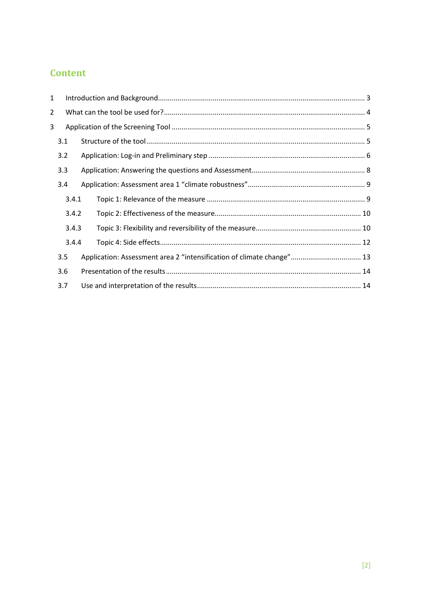# **Content**

| 1              |                                                                       |  |
|----------------|-----------------------------------------------------------------------|--|
| $\overline{2}$ |                                                                       |  |
| 3              |                                                                       |  |
| 3.1            |                                                                       |  |
| 3.2            |                                                                       |  |
| 3.3            |                                                                       |  |
| 3.4            |                                                                       |  |
|                | 3.4.1                                                                 |  |
|                | 3.4.2                                                                 |  |
|                | 3.4.3                                                                 |  |
|                | 3.4.4                                                                 |  |
| 3.5            | Application: Assessment area 2 "intensification of climate change" 13 |  |
| 3.6            |                                                                       |  |
| 3.7            |                                                                       |  |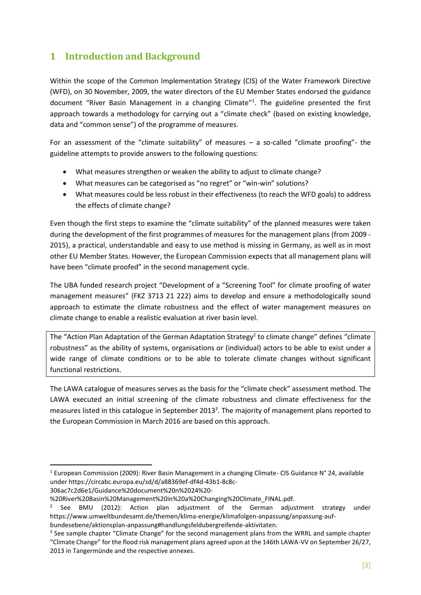# <span id="page-2-0"></span>**1 Introduction and Background**

Within the scope of the Common Implementation Strategy (CIS) of the Water Framework Directive (WFD), on 30 November, 2009, the water directors of the EU Member States endorsed the guidance document "River Basin Management in a changing Climate"<sup>1</sup>. The guideline presented the first approach towards a methodology for carrying out a "climate check" (based on existing knowledge, data and "common sense") of the programme of measures.

For an assessment of the "climate suitability" of measures – a so-called "climate proofing"- the guideline attempts to provide answers to the following questions:

- What measures strengthen or weaken the ability to adjust to climate change?
- What measures can be categorised as "no regret" or "win-win" solutions?
- What measures could be less robust in their effectiveness (to reach the WFD goals) to address the effects of climate change?

Even though the first steps to examine the "climate suitability" of the planned measures were taken during the development of the first programmes of measures for the management plans (from 2009 - 2015), a practical, understandable and easy to use method is missing in Germany, as well as in most other EU Member States. However, the European Commission expects that all management plans will have been "climate proofed" in the second management cycle.

The UBA funded research project "Development of a "Screening Tool" for climate proofing of water management measures" (FKZ 3713 21 222) aims to develop and ensure a methodologically sound approach to estimate the climate robustness and the effect of water management measures on climate change to enable a realistic evaluation at river basin level.

The "Action Plan Adaptation of the German Adaptation Strategy<sup>2</sup> to climate change" defines "climate robustness" as the ability of systems, organisations or (individual) actors to be able to exist under a wide range of climate conditions or to be able to tolerate climate changes without significant functional restrictions.

The LAWA catalogue of measures serves as the basis for the "climate check" assessment method. The LAWA executed an initial screening of the climate robustness and climate effectiveness for the measures listed in this catalogue in September 2013<sup>3</sup>. The majority of management plans reported to the European Commission in March 2016 are based on this approach.

306ac7c2d6e1/Guidance%20document%20n%2024%20-

<sup>&</sup>lt;sup>1</sup> European Commission (2009): River Basin Management in a changing Climate- CIS Guidance N° 24, available under https://circabc.europa.eu/sd/d/a88369ef-df4d-43b1-8c8c-

<sup>%20</sup>River%20Basin%20Management%20in%20a%20Changing%20Climate\_FINAL.pdf.

<sup>&</sup>lt;sup>2</sup> See BMU (2012): Action plan adjustment of the German adjustment strategy under https://www.umweltbundesamt.de/themen/klima-energie/klimafolgen-anpassung/anpassung-aufbundesebene/aktionsplan-anpassung#handlungsfeldubergreifende-aktivitaten.

<sup>&</sup>lt;sup>3</sup> See sample chapter "Climate Change" for the second management plans from the WRRL and sample chapter "Climate Change" for the flood risk management plans agreed upon at the 146th LAWA-VV on September 26/27, 2013 in Tangermünde and the respective annexes.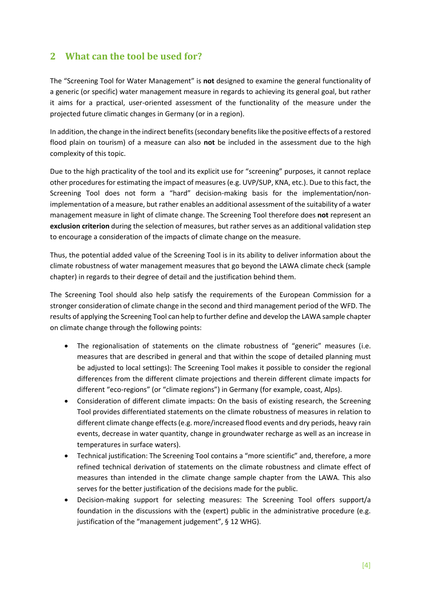# <span id="page-3-0"></span>**2 What can the tool be used for?**

The "Screening Tool for Water Management" is **not** designed to examine the general functionality of a generic (or specific) water management measure in regards to achieving its general goal, but rather it aims for a practical, user-oriented assessment of the functionality of the measure under the projected future climatic changes in Germany (or in a region).

In addition, the change in the indirect benefits (secondary benefits like the positive effects of a restored flood plain on tourism) of a measure can also **not** be included in the assessment due to the high complexity of this topic.

Due to the high practicality of the tool and its explicit use for "screening" purposes, it cannot replace other procedures for estimating the impact of measures (e.g. UVP/SUP, KNA, etc.). Due to this fact, the Screening Tool does not form a "hard" decision-making basis for the implementation/nonimplementation of a measure, but rather enables an additional assessment of the suitability of a water management measure in light of climate change. The Screening Tool therefore does **not** represent an **exclusion criterion** during the selection of measures, but rather serves as an additional validation step to encourage a consideration of the impacts of climate change on the measure.

Thus, the potential added value of the Screening Tool is in its ability to deliver information about the climate robustness of water management measures that go beyond the LAWA climate check (sample chapter) in regards to their degree of detail and the justification behind them.

The Screening Tool should also help satisfy the requirements of the European Commission for a stronger consideration of climate change in the second and third management period of the WFD. The results of applying the Screening Tool can help to further define and develop the LAWA sample chapter on climate change through the following points:

- The regionalisation of statements on the climate robustness of "generic" measures (i.e. measures that are described in general and that within the scope of detailed planning must be adjusted to local settings): The Screening Tool makes it possible to consider the regional differences from the different climate projections and therein different climate impacts for different "eco-regions" (or "climate regions") in Germany (for example, coast, Alps).
- Consideration of different climate impacts: On the basis of existing research, the Screening Tool provides differentiated statements on the climate robustness of measures in relation to different climate change effects (e.g. more/increased flood events and dry periods, heavy rain events, decrease in water quantity, change in groundwater recharge as well as an increase in temperatures in surface waters).
- Technical justification: The Screening Tool contains a "more scientific" and, therefore, a more refined technical derivation of statements on the climate robustness and climate effect of measures than intended in the climate change sample chapter from the LAWA. This also serves for the better justification of the decisions made for the public.
- Decision-making support for selecting measures: The Screening Tool offers support/a foundation in the discussions with the (expert) public in the administrative procedure (e.g. justification of the "management judgement", § 12 WHG).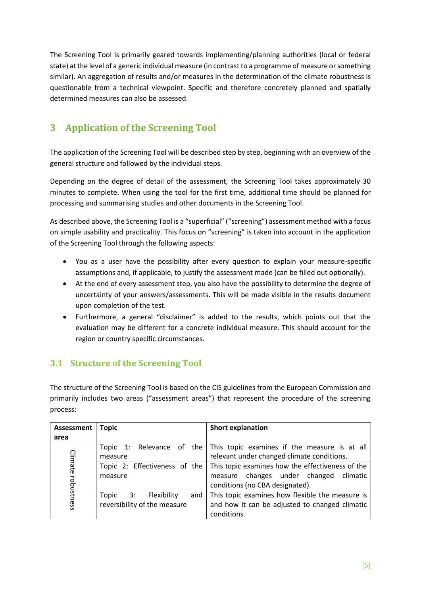The Screening Tool is primarily geared towards implementing/planning authorities (local or federal state) at the level of a generic individual measure (in contrast to a programme of measure or something similar). An aggregation of results and/or measures in the determination of the climate robustness is questionable from a technical viewpoint. Specific and therefore concretely planned and spatially determined measures can also be assessed.

# <span id="page-4-0"></span>**3 Application of the Screening Tool**

The application of the Screening Tool will be described step by step, beginning with an overview of the general structure and followed by the individual steps.

Depending on the degree of detail of the assessment, the Screening Tool takes approximately 30 minutes to complete. When using the tool for the first time, additional time should be planned for processing and summarising studies and other documents in the Screening Tool.

As described above, the Screening Tool is a "superficial" ("screening") assessment method with a focus on simple usability and practicality. This focus on "screening" is taken into account in the application of the Screening Tool through the following aspects:

- You as a user have the possibility after every question to explain your measure-specific assumptions and, if applicable, to justify the assessment made (can be filled out optionally).
- At the end of every assessment step, you also have the possibility to determine the degree of uncertainty of your answers/assessments. This will be made visible in the results document upon completion of the test.
- Furthermore, a general "disclaimer" is added to the results, which points out that the evaluation may be different for a concrete individual measure. This should account for the region or country specific circumstances.

# <span id="page-4-1"></span>**3.1 Structure of the Screening Tool**

The structure of the Screening Tool is based on the CIS guidelines from the European Commission and primarily includes two areas ("assessment areas") that represent the procedure of the screening process:

| <b>Assessment</b> | <b>Topic</b>                      | <b>Short explanation</b>                         |  |  |
|-------------------|-----------------------------------|--------------------------------------------------|--|--|
| area              |                                   |                                                  |  |  |
|                   | Relevance of the<br>1:<br>Topic   | This topic examines if the measure is at all     |  |  |
| Climate           | measure                           | relevant under changed climate conditions.       |  |  |
|                   | Topic 2: Effectiveness of the     | This topic examines how the effectiveness of the |  |  |
|                   | measure                           | measure changes under changed climatic           |  |  |
| robustness        |                                   | conditions (no CBA designated).                  |  |  |
|                   | Flexibility<br>Topic<br>3:<br>and | This topic examines how flexible the measure is  |  |  |
|                   | reversibility of the measure      | and how it can be adjusted to changed climatic   |  |  |
|                   |                                   | conditions.                                      |  |  |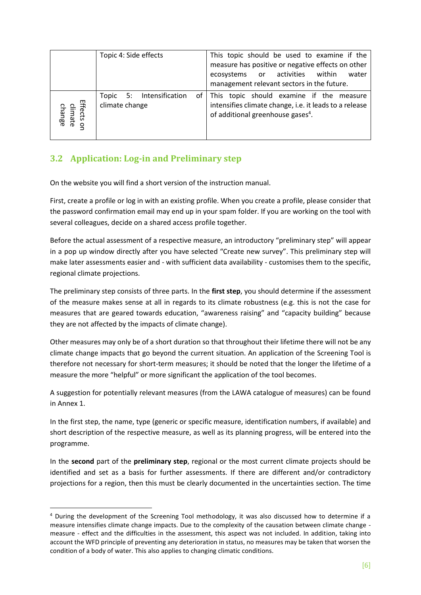|                                      | Topic 4: Side effects                      | This topic should be used to examine if the<br>measure has positive or negative effects on other<br>ecosystems or activities<br>within<br>water<br>management relevant sectors in the future. |  |  |  |  |
|--------------------------------------|--------------------------------------------|-----------------------------------------------------------------------------------------------------------------------------------------------------------------------------------------------|--|--|--|--|
| Effects or<br>climate<br>change<br>q | Topic 5: Intensification<br>climate change | of This topic should examine if the measure<br>intensifies climate change, i.e. it leads to a release<br>of additional greenhouse gases <sup>4</sup> .                                        |  |  |  |  |

# <span id="page-5-0"></span>**3.2 Application: Log-in and Preliminary step**

On the website you will find a short version of the instruction manual.

First, create a profile or log in with an existing profile. When you create a profile, please consider that the password confirmation email may end up in your spam folder. If you are working on the tool with several colleagues, decide on a shared access profile together.

Before the actual assessment of a respective measure, an introductory "preliminary step" will appear in a pop up window directly after you have selected "Create new survey". This preliminary step will make later assessments easier and - with sufficient data availability - customises them to the specific, regional climate projections.

The preliminary step consists of three parts. In the **first step**, you should determine if the assessment of the measure makes sense at all in regards to its climate robustness (e.g. this is not the case for measures that are geared towards education, "awareness raising" and "capacity building" because they are not affected by the impacts of climate change).

Other measures may only be of a short duration so that throughout their lifetime there will not be any climate change impacts that go beyond the current situation. An application of the Screening Tool is therefore not necessary for short-term measures; it should be noted that the longer the lifetime of a measure the more "helpful" or more significant the application of the tool becomes.

A suggestion for potentially relevant measures (from the LAWA catalogue of measures) can be found in Annex 1.

In the first step, the name, type (generic or specific measure, identification numbers, if available) and short description of the respective measure, as well as its planning progress, will be entered into the programme.

In the **second** part of the **preliminary step**, regional or the most current climate projects should be identified and set as a basis for further assessments. If there are different and/or contradictory projections for a region, then this must be clearly documented in the uncertainties section. The time

<sup>4</sup> During the development of the Screening Tool methodology, it was also discussed how to determine if a measure intensifies climate change impacts. Due to the complexity of the causation between climate change measure - effect and the difficulties in the assessment, this aspect was not included. In addition, taking into account the WFD principle of preventing any deterioration in status, no measures may be taken that worsen the condition of a body of water. This also applies to changing climatic conditions.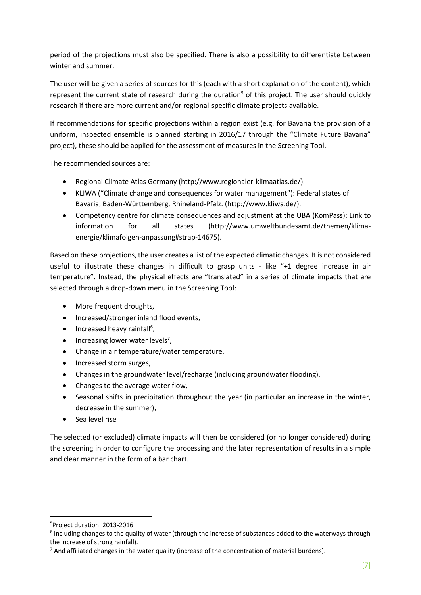period of the projections must also be specified. There is also a possibility to differentiate between winter and summer.

The user will be given a series of sources for this (each with a short explanation of the content), which represent the current state of research during the duration<sup>5</sup> of this project. The user should quickly research if there are more current and/or regional-specific climate projects available.

If recommendations for specific projections within a region exist (e.g. for Bavaria the provision of a uniform, inspected ensemble is planned starting in 2016/17 through the "Climate Future Bavaria" project), these should be applied for the assessment of measures in the Screening Tool.

The recommended sources are:

- Regional Climate Atlas Germany (http://www.regionaler-klimaatlas.de/).
- KLIWA ("Climate change and consequences for water management"): Federal states of Bavaria, Baden-Württemberg, Rhineland-Pfalz. (http://www.kliwa.de/).
- Competency centre for climate consequences and adjustment at the UBA (KomPass): Link to information for all states (http://www.umweltbundesamt.de/themen/klimaenergie/klimafolgen-anpassung#strap-14675).

Based on these projections, the user creates a list of the expected climatic changes. It is not considered useful to illustrate these changes in difficult to grasp units - like "+1 degree increase in air temperature". Instead, the physical effects are "translated" in a series of climate impacts that are selected through a drop-down menu in the Screening Tool:

- More frequent droughts,
- Increased/stronger inland flood events,
- Increased heavy rainfall<sup>6</sup>,
- $\bullet$  Increasing lower water levels<sup>7</sup>,
- Change in air temperature/water temperature,
- Increased storm surges,
- Changes in the groundwater level/recharge (including groundwater flooding),
- Changes to the average water flow,
- Seasonal shifts in precipitation throughout the year (in particular an increase in the winter, decrease in the summer),
- Sea level rise

The selected (or excluded) climate impacts will then be considered (or no longer considered) during the screening in order to configure the processing and the later representation of results in a simple and clear manner in the form of a bar chart.

<sup>5</sup>Project duration: 2013-2016

<sup>&</sup>lt;sup>6</sup> Including changes to the quality of water (through the increase of substances added to the waterways through the increase of strong rainfall).

 $<sup>7</sup>$  And affiliated changes in the water quality (increase of the concentration of material burdens).</sup>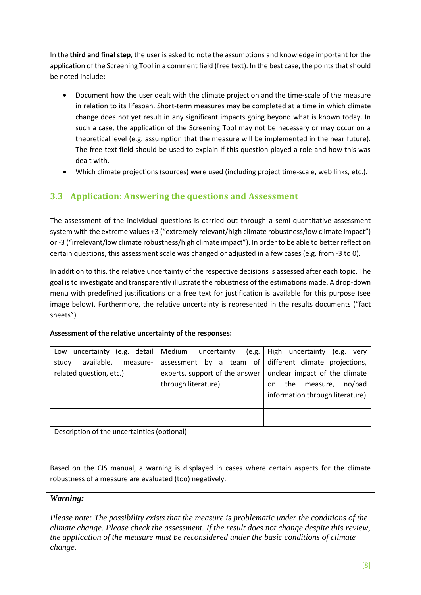In the **third and final step**, the user is asked to note the assumptions and knowledge important for the application of the Screening Tool in a comment field (free text). In the best case, the points that should be noted include:

- Document how the user dealt with the climate projection and the time-scale of the measure in relation to its lifespan. Short-term measures may be completed at a time in which climate change does not yet result in any significant impacts going beyond what is known today. In such a case, the application of the Screening Tool may not be necessary or may occur on a theoretical level (e.g. assumption that the measure will be implemented in the near future). The free text field should be used to explain if this question played a role and how this was dealt with.
- Which climate projections (sources) were used (including project time-scale, web links, etc.).

# <span id="page-7-0"></span>**3.3 Application: Answering the questions and Assessment**

The assessment of the individual questions is carried out through a semi-quantitative assessment system with the extreme values +3 ("extremely relevant/high climate robustness/low climate impact") or -3 ("irrelevant/low climate robustness/high climate impact"). In order to be able to better reflect on certain questions, this assessment scale was changed or adjusted in a few cases (e.g. from -3 to 0).

In addition to this, the relative uncertainty of the respective decisions is assessed after each topic. The goal is to investigate and transparently illustrate the robustness of the estimations made. A drop-down menu with predefined justifications or a free text for justification is available for this purpose (see image below). Furthermore, the relative uncertainty is represented in the results documents ("fact sheets").

#### **Assessment of the relative uncertainty of the responses:**

| (e.g. detail<br>uncertainty<br>Low          | Medium<br>uncertainty<br>(e.g. | High<br>uncertainty<br>(e.g.<br>very |
|---------------------------------------------|--------------------------------|--------------------------------------|
| study<br>available,<br>measure-             | assessment by a team of        | different climate projections,       |
| related question, etc.)                     | experts, support of the answer | unclear impact of the climate        |
|                                             | through literature)            | no/bad<br>the<br>measure,<br>on.     |
|                                             |                                | information through literature)      |
|                                             |                                |                                      |
|                                             |                                |                                      |
|                                             |                                |                                      |
| Description of the uncertainties (optional) |                                |                                      |
|                                             |                                |                                      |

Based on the CIS manual, a warning is displayed in cases where certain aspects for the climate robustness of a measure are evaluated (too) negatively.

## *Warning:*

*Please note: The possibility exists that the measure is problematic under the conditions of the climate change. Please check the assessment. If the result does not change despite this review, the application of the measure must be reconsidered under the basic conditions of climate change.*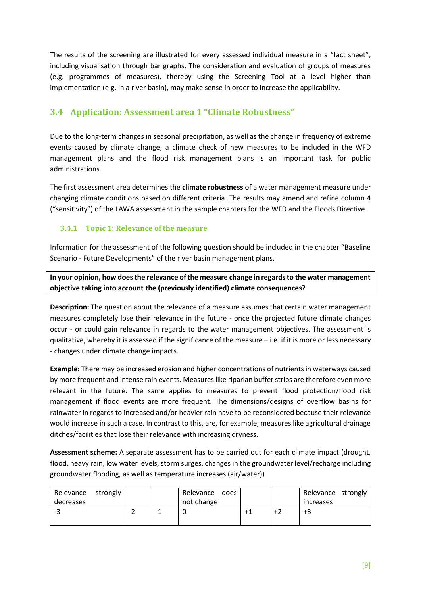The results of the screening are illustrated for every assessed individual measure in a "fact sheet", including visualisation through bar graphs. The consideration and evaluation of groups of measures (e.g. programmes of measures), thereby using the Screening Tool at a level higher than implementation (e.g. in a river basin), may make sense in order to increase the applicability.

# <span id="page-8-0"></span>**3.4 Application: Assessment area 1 "Climate Robustness"**

Due to the long-term changes in seasonal precipitation, as well as the change in frequency of extreme events caused by climate change, a climate check of new measures to be included in the WFD management plans and the flood risk management plans is an important task for public administrations.

The first assessment area determines the **climate robustness** of a water management measure under changing climate conditions based on different criteria. The results may amend and refine column 4 ("sensitivity") of the LAWA assessment in the sample chapters for the WFD and the Floods Directive.

## <span id="page-8-1"></span>**3.4.1 Topic 1: Relevance of the measure**

Information for the assessment of the following question should be included in the chapter "Baseline Scenario - Future Developments" of the river basin management plans.

**In your opinion, how does the relevance of the measure change in regards to the water management objective taking into account the (previously identified) climate consequences?** 

**Description:** The question about the relevance of a measure assumes that certain water management measures completely lose their relevance in the future - once the projected future climate changes occur - or could gain relevance in regards to the water management objectives. The assessment is qualitative, whereby it is assessed if the significance of the measure – i.e. if it is more or less necessary - changes under climate change impacts.

**Example:** There may be increased erosion and higher concentrations of nutrients in waterways caused by more frequent and intense rain events. Measures like riparian buffer strips are therefore even more relevant in the future. The same applies to measures to prevent flood protection/flood risk management if flood events are more frequent. The dimensions/designs of overflow basins for rainwater in regards to increased and/or heavier rain have to be reconsidered because their relevance would increase in such a case. In contrast to this, are, for example, measures like agricultural drainage ditches/facilities that lose their relevance with increasing dryness.

**Assessment scheme:** A separate assessment has to be carried out for each climate impact (drought, flood, heavy rain, low water levels, storm surges, changes in the groundwater level/recharge including groundwater flooding, as well as temperature increases (air/water))

| Relevance strongly<br>decreases |  | Relevance does<br>not change |  | Relevance strongly<br>increases |  |
|---------------------------------|--|------------------------------|--|---------------------------------|--|
| - -                             |  |                              |  | +3                              |  |
|                                 |  |                              |  |                                 |  |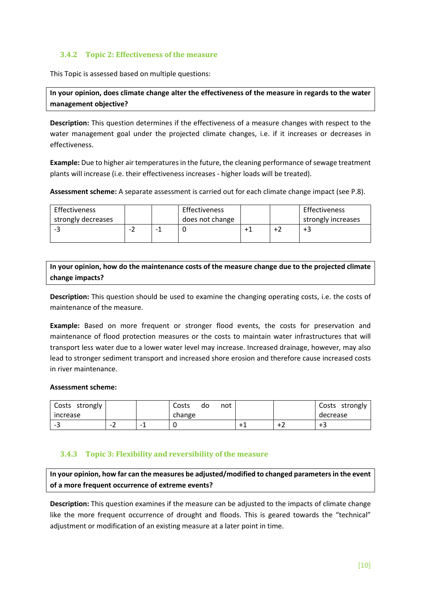## <span id="page-9-0"></span>**3.4.2 Topic 2: Effectiveness of the measure**

This Topic is assessed based on multiple questions:

**In your opinion, does climate change alter the effectiveness of the measure in regards to the water management objective?** 

**Description:** This question determines if the effectiveness of a measure changes with respect to the water management goal under the projected climate changes, i.e. if it increases or decreases in effectiveness.

**Example:** Due to higher air temperatures in the future, the cleaning performance of sewage treatment plants will increase (i.e. their effectiveness increases - higher loads will be treated).

**Assessment scheme:** A separate assessment is carried out for each climate change impact (see P.8).

| Effectiveness      |  | Effectiveness   |  | Effectiveness      |
|--------------------|--|-----------------|--|--------------------|
| strongly decreases |  | does not change |  | strongly increases |
| --                 |  |                 |  | +3                 |
|                    |  |                 |  |                    |

**In your opinion, how do the maintenance costs of the measure change due to the projected climate change impacts?**

**Description:** This question should be used to examine the changing operating costs, i.e. the costs of maintenance of the measure.

**Example:** Based on more frequent or stronger flood events, the costs for preservation and maintenance of flood protection measures or the costs to maintain water infrastructures that will transport less water due to a lower water level may increase. Increased drainage, however, may also lead to stronger sediment transport and increased shore erosion and therefore cause increased costs in river maintenance.

#### **Assessment scheme:**

| Costs strongly |                               |   | Costs<br>do | not |  | Costs<br>strongly |
|----------------|-------------------------------|---|-------------|-----|--|-------------------|
| increase       |                               |   | change      |     |  | decrease          |
| - -            | $\overline{\phantom{0}}$<br>▵ | - |             |     |  | ב+                |

#### <span id="page-9-1"></span>**3.4.3 Topic 3: Flexibility and reversibility of the measure**

**In your opinion, how far can the measures be adjusted/modified to changed parameters in the event of a more frequent occurrence of extreme events?**

**Description:** This question examines if the measure can be adjusted to the impacts of climate change like the more frequent occurrence of drought and floods. This is geared towards the "technical" adjustment or modification of an existing measure at a later point in time.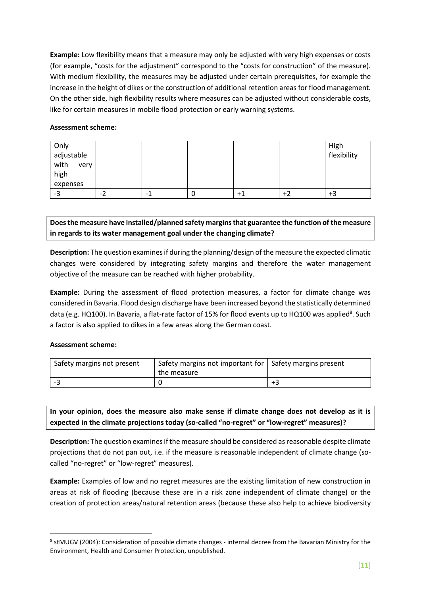**Example:** Low flexibility means that a measure may only be adjusted with very high expenses or costs (for example, "costs for the adjustment" correspond to the "costs for construction" of the measure). With medium flexibility, the measures may be adjusted under certain prerequisites, for example the increase in the height of dikes or the construction of additional retention areas for flood management. On the other side, high flexibility results where measures can be adjusted without considerable costs, like for certain measures in mobile flood protection or early warning systems.

#### **Assessment scheme:**

| Only<br>adjustable   |    |      |   |     | High<br>flexibility |
|----------------------|----|------|---|-----|---------------------|
| with<br>very<br>high |    |      |   |     |                     |
| expenses             |    |      |   |     |                     |
| -3                   | -2 | $-1$ | υ | ÷ i | +3                  |

**Does the measure have installed/planned safety margins that guarantee the function of the measure in regards to its water management goal under the changing climate?**

**Description:** The question examines if during the planning/design of the measure the expected climatic changes were considered by integrating safety margins and therefore the water management objective of the measure can be reached with higher probability.

**Example:** During the assessment of flood protection measures, a factor for climate change was considered in Bavaria. Flood design discharge have been increased beyond the statistically determined data (e.g. HQ100). In Bavaria, a flat-rate factor of 15% for flood events up to HQ100 was applied<sup>8</sup>. Such a factor is also applied to dikes in a few areas along the German coast.

#### **Assessment scheme:**

| Safety margins not present | Safety margins not important for   Safety margins present<br>the measure |    |
|----------------------------|--------------------------------------------------------------------------|----|
|                            |                                                                          | +3 |

**In your opinion, does the measure also make sense if climate change does not develop as it is expected in the climate projections today (so-called "no-regret" or "low-regret" measures)?**

**Description:** The question examines if the measure should be considered as reasonable despite climate projections that do not pan out, i.e. if the measure is reasonable independent of climate change (socalled "no-regret" or "low-regret" measures).

**Example:** Examples of low and no regret measures are the existing limitation of new construction in areas at risk of flooding (because these are in a risk zone independent of climate change) or the creation of protection areas/natural retention areas (because these also help to achieve biodiversity

<sup>8</sup> stMUGV (2004): Consideration of possible climate changes - internal decree from the Bavarian Ministry for the Environment, Health and Consumer Protection, unpublished.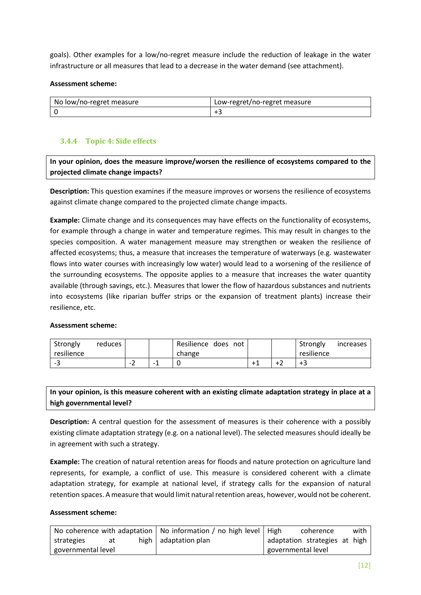goals). Other examples for a low/no-regret measure include the reduction of leakage in the water infrastructure or all measures that lead to a decrease in the water demand (see attachment).

#### **Assessment scheme:**

| No low/no-regret measure | Low-regret/no-regret measure |
|--------------------------|------------------------------|
|                          |                              |

## <span id="page-11-0"></span>**3.4.4 Topic 4: Side effects**

**In your opinion, does the measure improve/worsen the resilience of ecosystems compared to the projected climate change impacts?** 

**Description:** This question examines if the measure improves or worsens the resilience of ecosystems against climate change compared to the projected climate change impacts.

**Example:** Climate change and its consequences may have effects on the functionality of ecosystems, for example through a change in water and temperature regimes. This may result in changes to the species composition. A water management measure may strengthen or weaken the resilience of affected ecosystems; thus, a measure that increases the temperature of waterways (e.g. wastewater flows into water courses with increasingly low water) would lead to a worsening of the resilience of the surrounding ecosystems. The opposite applies to a measure that increases the water quantity available (through savings, etc.). Measures that lower the flow of hazardous substances and nutrients into ecosystems (like riparian buffer strips or the expansion of treatment plants) increase their resilience, etc.

#### **Assessment scheme:**

| Strongly<br>resilience | reduces |  | Resilience does<br>not<br>change |  | Strongly<br>resilience | increases |
|------------------------|---------|--|----------------------------------|--|------------------------|-----------|
| --                     |         |  |                                  |  | +5                     |           |

## **In your opinion, is this measure coherent with an existing climate adaptation strategy in place at a high governmental level?**

**Description:** A central question for the assessment of measures is their coherence with a possibly existing climate adaptation strategy (e.g. on a national level). The selected measures should ideally be in agreement with such a strategy.

**Example:** The creation of natural retention areas for floods and nature protection on agriculture land represents, for example, a conflict of use. This measure is considered coherent with a climate adaptation strategy, for example at national level, if strategy calls for the expansion of natural retention spaces. A measure that would limit natural retention areas, however, would not be coherent.

#### **Assessment scheme:**

|                    |    |  | No coherence with adaptation   No information / no high level   High |                    | coherence                     | with |
|--------------------|----|--|----------------------------------------------------------------------|--------------------|-------------------------------|------|
| strategies         | at |  | high $ $ adaptation plan                                             |                    | adaptation strategies at high |      |
| governmental level |    |  |                                                                      | governmental level |                               |      |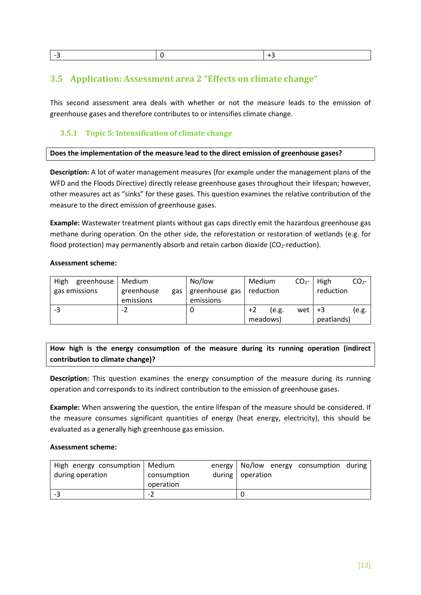<span id="page-12-0"></span>

|--|

## **3.5 Application: Assessment area 2 "Effects on climate change"**

This second assessment area deals with whether or not the measure leads to the emission of greenhouse gases and therefore contributes to or intensifies climate change.

## **3.5.1 Topic 5: Intensification of climate change**

#### **Does the implementation of the measure lead to the direct emission of greenhouse gases?**

**Description:** A lot of water management measures (for example under the management plans of the WFD and the Floods Directive) directly release greenhouse gases throughout their lifespan; however, other measures act as "sinks" for these gases. This question examines the relative contribution of the measure to the direct emission of greenhouse gases.

**Example:** Wastewater treatment plants without gas caps directly emit the hazardous greenhouse gas methane during operation. On the other side, the reforestation or restoration of wetlands (e.g. for flood protection) may permanently absorb and retain carbon dioxide ( $CO<sub>2</sub>$ -reduction).

#### **Assessment scheme:**

| High<br>greenhouse<br>gas emissions | Medium<br>greenhouse<br>gas<br>emissions | No/low<br>greenhouse gas<br>emissions | Medium<br>reduction       | CO <sub>2</sub> | High<br>reduction | CO <sub>2</sub> - |
|-------------------------------------|------------------------------------------|---------------------------------------|---------------------------|-----------------|-------------------|-------------------|
| -3                                  | -z                                       |                                       | $+2$<br>(e.g.<br>meadows) | wet l           | +3<br>peatlands)  | (e.g.             |

## **How high is the energy consumption of the measure during its running operation (indirect contribution to climate change)?**

**Description:** This question examines the energy consumption of the measure during its running operation and corresponds to its indirect contribution to the emission of greenhouse gases.

**Example:** When answering the question, the entire lifespan of the measure should be considered. If the measure consumes significant quantities of energy (heat energy, electricity), this should be evaluated as a generally high greenhouse gas emission.

#### **Assessment scheme:**

| High energy consumption   Medium |             |                  | energy   No/low energy consumption during |  |
|----------------------------------|-------------|------------------|-------------------------------------------|--|
| during operation                 | consumption | during operation |                                           |  |
|                                  | operation   |                  |                                           |  |
| --                               | - 1         |                  |                                           |  |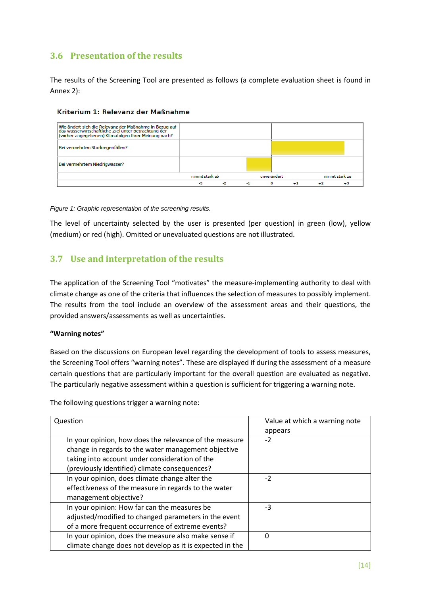# <span id="page-13-0"></span>**3.6 Presentation of the results**

The results of the Screening Tool are presented as follows (a complete evaluation sheet is found in Annex 2):

#### Kriterium 1: Relevanz der Maßnahme



*Figure 1: Graphic representation of the screening results.*

The level of uncertainty selected by the user is presented (per question) in green (low), yellow (medium) or red (high). Omitted or unevaluated questions are not illustrated.

## <span id="page-13-1"></span>**3.7 Use and interpretation of the results**

The application of the Screening Tool "motivates" the measure-implementing authority to deal with climate change as one of the criteria that influences the selection of measures to possibly implement. The results from the tool include an overview of the assessment areas and their questions, the provided answers/assessments as well as uncertainties.

#### **"Warning notes"**

Based on the discussions on European level regarding the development of tools to assess measures, the Screening Tool offers "warning notes". These are displayed if during the assessment of a measure certain questions that are particularly important for the overall question are evaluated as negative. The particularly negative assessment within a question is sufficient for triggering a warning note.

The following questions trigger a warning note:

| Question                                                                                                      | Value at which a warning note |
|---------------------------------------------------------------------------------------------------------------|-------------------------------|
|                                                                                                               | appears                       |
| In your opinion, how does the relevance of the measure<br>change in regards to the water management objective | $-2$                          |
| taking into account under consideration of the                                                                |                               |
| (previously identified) climate consequences?                                                                 |                               |
| In your opinion, does climate change alter the                                                                | $-2$                          |
| effectiveness of the measure in regards to the water                                                          |                               |
| management objective?                                                                                         |                               |
| In your opinion: How far can the measures be                                                                  | $-3$                          |
| adjusted/modified to changed parameters in the event                                                          |                               |
| of a more frequent occurrence of extreme events?                                                              |                               |
| In your opinion, does the measure also make sense if                                                          | $\Omega$                      |
| climate change does not develop as it is expected in the                                                      |                               |